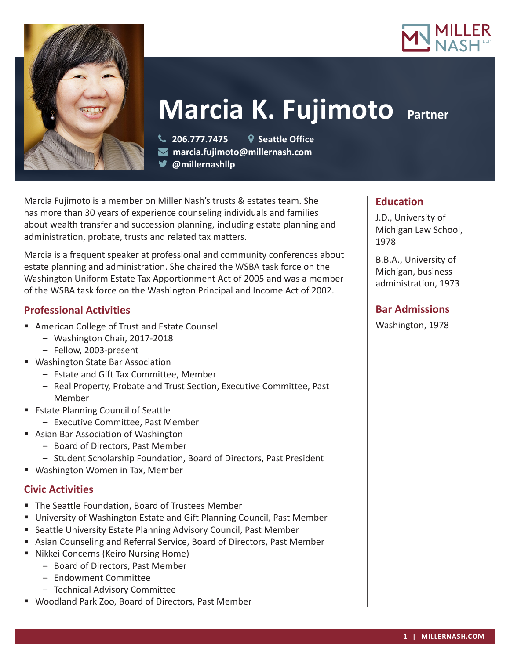



**Marcia K. Fujimoto Partner** 

 **206.777.7475 Seattle Office marcia.fujimoto@millernash.com @millernashllp** 

Marcia Fujimoto is a member on Miller Nash's trusts & estates team. She has more than 30 years of experience counseling individuals and families about wealth transfer and succession planning, including estate planning and administration, probate, trusts and related tax matters.

Marcia is a frequent speaker at professional and community conferences about estate planning and administration. She chaired the WSBA task force on the Washington Uniform Estate Tax Apportionment Act of 2005 and was a member of the WSBA task force on the Washington Principal and Income Act of 2002.

### **Professional Activities**

- American College of Trust and Estate Counsel
	- Washington Chair, 2017-2018
	- Fellow, 2003-present
- Washington State Bar Association
	- Estate and Gift Tax Committee, Member
	- Real Property, Probate and Trust Section, Executive Committee, Past Member
- Estate Planning Council of Seattle
	- Executive Committee, Past Member
- Asian Bar Association of Washington
	- Board of Directors, Past Member
	- Student Scholarship Foundation, Board of Directors, Past President
- Washington Women in Tax, Member

# **Civic Activities**

- The Seattle Foundation, Board of Trustees Member
- University of Washington Estate and Gift Planning Council, Past Member
- Seattle University Estate Planning Advisory Council, Past Member
- Asian Counseling and Referral Service, Board of Directors, Past Member
- Nikkei Concerns (Keiro Nursing Home)
	- Board of Directors, Past Member
	- Endowment Committee
	- Technical Advisory Committee
- Woodland Park Zoo, Board of Directors, Past Member

# **Education**

J.D., University of Michigan Law School, 1978

B.B.A., University of Michigan, business administration, 1973

# **Bar Admissions**

Washington, 1978